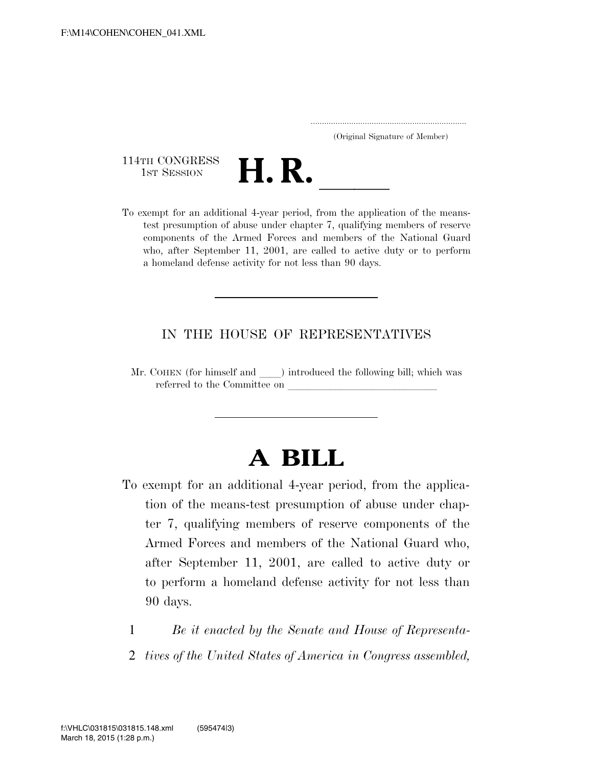..................................................................... (Original Signature of Member)

114TH CONGRESS<br>1st Session



114TH CONGRESS<br>
1st SESSION<br>
To exempt for an additional 4-year period, from the application of the meanstest presumption of abuse under chapter 7, qualifying members of reserve components of the Armed Forces and members of the National Guard who, after September 11, 2001, are called to active duty or to perform a homeland defense activity for not less than 90 days.

## IN THE HOUSE OF REPRESENTATIVES

Mr. COHEN (for himself and ) introduced the following bill; which was referred to the Committee on

## **A BILL**

- To exempt for an additional 4-year period, from the application of the means-test presumption of abuse under chapter 7, qualifying members of reserve components of the Armed Forces and members of the National Guard who, after September 11, 2001, are called to active duty or to perform a homeland defense activity for not less than 90 days.
	- 1 *Be it enacted by the Senate and House of Representa-*
	- 2 *tives of the United States of America in Congress assembled,*